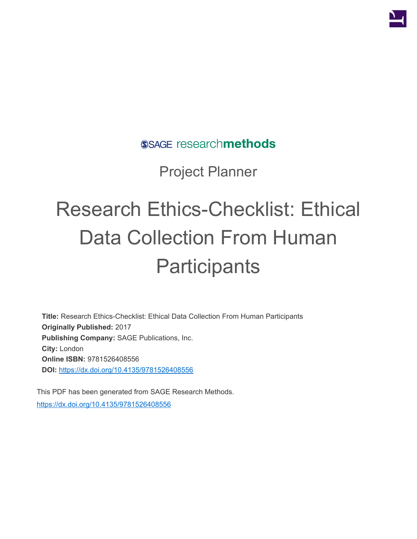

SSAGE researchmethods

Project Planner

## Research Ethics-Checklist: Ethical Data Collection From Human **Participants**

**Title:** Research Ethics-Checklist: Ethical Data Collection From Human Participants **Originally Published:** 2017 **Publishing Company:** SAGE Publications, Inc. **City:** London **Online ISBN:** 9781526408556 **DOI:** <https://dx.doi.org/10.4135/9781526408556>

This PDF has been generated from SAGE Research Methods. <https://dx.doi.org/10.4135/9781526408556>